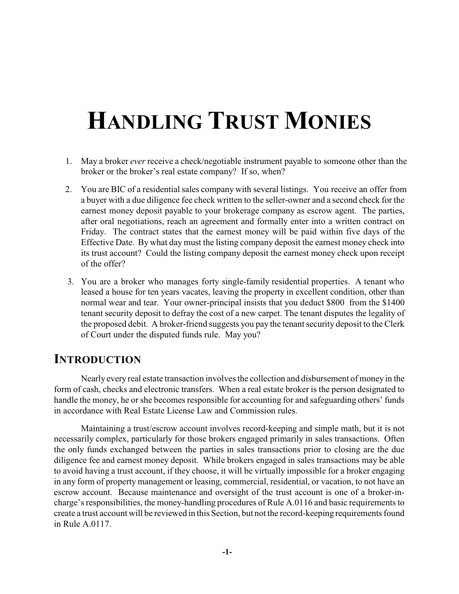# **HANDLING TRUST MONIES**

- 1. May a broker *ever* receive a check/negotiable instrument payable to someone other than the broker or the broker's real estate company? If so, when?
- 2. You are BIC of a residential sales company with several listings. You receive an offer from a buyer with a due diligence fee check written to the seller-owner and a second check for the earnest money deposit payable to your brokerage company as escrow agent. The parties, after oral negotiations, reach an agreement and formally enter into a written contract on Friday. The contract states that the earnest money will be paid within five days of the Effective Date. By what day must the listing company deposit the earnest money check into its trust account? Could the listing company deposit the earnest money check upon receipt of the offer?
- 3. You are a broker who manages forty single-family residential properties. A tenant who leased a house for ten years vacates, leaving the property in excellent condition, other than normal wear and tear. Your owner-principal insists that you deduct \$800 from the \$1400 tenant security deposit to defray the cost of a new carpet. The tenant disputes the legality of the proposed debit. A broker-friend suggests you pay the tenant security deposit to the Clerk of Court under the disputed funds rule. May you?

# **INTRODUCTION**

Nearly every real estate transaction involves the collection and disbursement of money in the form of cash, checks and electronic transfers. When a real estate broker is the person designated to handle the money, he or she becomes responsible for accounting for and safeguarding others' funds in accordance with Real Estate License Law and Commission rules.

Maintaining a trust/escrow account involves record-keeping and simple math, but it is not necessarily complex, particularly for those brokers engaged primarily in sales transactions. Often the only funds exchanged between the parties in sales transactions prior to closing are the due diligence fee and earnest money deposit. While brokers engaged in sales transactions may be able to avoid having a trust account, if they choose, it will be virtually impossible for a broker engaging in any form of property management or leasing, commercial, residential, or vacation, to not have an escrow account. Because maintenance and oversight of the trust account is one of a broker-incharge's responsibilities, the money-handling procedures of Rule A.0116 and basic requirements to create a trust account will be reviewed in this Section, but not the record-keeping requirements found in Rule A.0117.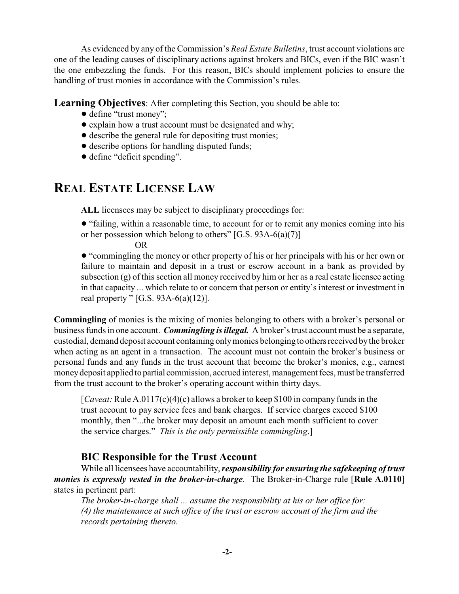As evidenced by any of the Commission's *Real Estate Bulletins*, trust account violations are one of the leading causes of disciplinary actions against brokers and BICs, even if the BIC wasn't the one embezzling the funds. For this reason, BICs should implement policies to ensure the handling of trust monies in accordance with the Commission's rules.

**Learning Objectives**: After completing this Section, you should be able to:

- define "trust money";
- ! explain how a trust account must be designated and why;
- describe the general rule for depositing trust monies;
- $\bullet$  describe options for handling disputed funds;
- $\bullet$  define "deficit spending".

# **REAL ESTATE LICENSE LAW**

**ALL** licensees may be subject to disciplinary proceedings for:

! "failing, within a reasonable time, to account for or to remit any monies coming into his or her possession which belong to others" [G.S. 93A-6(a)(7)]

OR

! "commingling the money or other property of his or her principals with his or her own or failure to maintain and deposit in a trust or escrow account in a bank as provided by subsection  $(g)$  of this section all money received by him or her as a real estate licensee acting in that capacity ... which relate to or concern that person or entity's interest or investment in real property "  $[G.S. 93A-6(a)(12)]$ .

**Commingling** of monies is the mixing of monies belonging to others with a broker's personal or business funds in one account. *Commingling is illegal.* A broker's trust account must be a separate, custodial, demand deposit account containing only monies belonging to others received by the broker when acting as an agent in a transaction. The account must not contain the broker's business or personal funds and any funds in the trust account that become the broker's monies, e.g., earnest money deposit applied to partial commission, accrued interest, management fees, must be transferred from the trust account to the broker's operating account within thirty days.

[*Caveat:* Rule A.0117(c)(4)(c) allows a broker to keep \$100 in company funds in the trust account to pay service fees and bank charges. If service charges exceed \$100 monthly, then "...the broker may deposit an amount each month sufficient to cover the service charges." *This is the only permissible commingling*.]

#### **BIC Responsible for the Trust Account**

While all licensees have accountability, *responsibility for ensuring the safekeeping of trust monies is expressly vested in the broker-in-charge*. The Broker-in-Charge rule [**Rule A.0110**] states in pertinent part:

*The broker-in-charge shall ... assume the responsibility at his or her office for: (4) the maintenance at such office of the trust or escrow account of the firm and the records pertaining thereto.*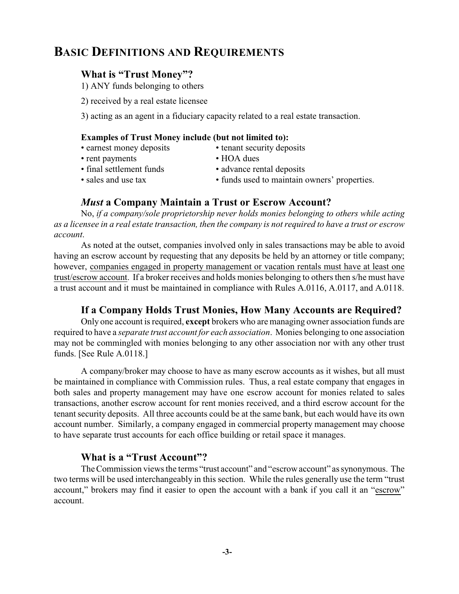# **BASIC DEFINITIONS AND REQUIREMENTS**

#### **What is "Trust Money"?**

1) ANY funds belonging to others

- 2) received by a real estate licensee
- 3) acting as an agent in a fiduciary capacity related to a real estate transaction.

#### **Examples of Trust Money include (but not limited to):**

- earnest money deposits tenant security deposits
- rent payments HOA dues
- final settlement funds advance rental deposits
- sales and use tax funds used to maintain owners' properties.

#### *Must* **a Company Maintain a Trust or Escrow Account?**

No, *if a company/sole proprietorship never holds monies belonging to others while acting as a licensee in a real estate transaction, then the company is not required to have a trust or escrow account*.

As noted at the outset, companies involved only in sales transactions may be able to avoid having an escrow account by requesting that any deposits be held by an attorney or title company; however, companies engaged in property management or vacation rentals must have at least one trust/escrow account. If a broker receives and holds monies belonging to others then s/he must have a trust account and it must be maintained in compliance with Rules A.0116, A.0117, and A.0118.

#### **If a Company Holds Trust Monies, How Many Accounts are Required?**

Only one account is required, **except** brokers who are managing owner association funds are required to have a *separate trust account for each association*. Monies belonging to one association may not be commingled with monies belonging to any other association nor with any other trust funds. [See Rule A.0118.]

A company/broker may choose to have as many escrow accounts as it wishes, but all must be maintained in compliance with Commission rules. Thus, a real estate company that engages in both sales and property management may have one escrow account for monies related to sales transactions, another escrow account for rent monies received, and a third escrow account for the tenant security deposits. All three accounts could be at the same bank, but each would have its own account number. Similarly, a company engaged in commercial property management may choose to have separate trust accounts for each office building or retail space it manages.

#### **What is a "Trust Account"?**

The Commission views the terms "trust account" and "escrow account" as synonymous. The two terms will be used interchangeably in this section. While the rules generally use the term "trust account," brokers may find it easier to open the account with a bank if you call it an "escrow" account.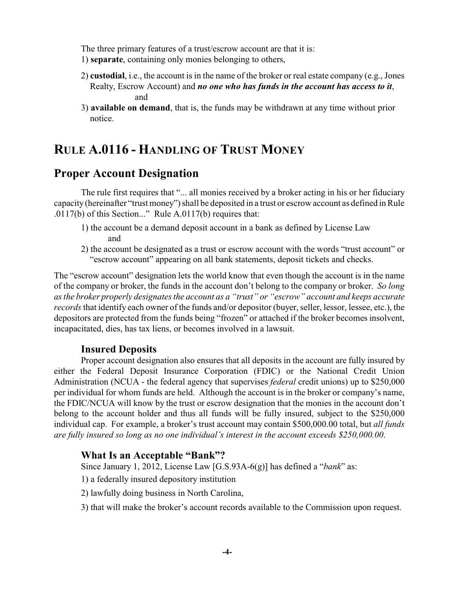The three primary features of a trust/escrow account are that it is:

- 1) **separate**, containing only monies belonging to others,
- 2) **custodial**, i.e., the account is in the name of the broker or real estate company (e.g., Jones Realty, Escrow Account) and *no one who has funds in the account has access to it*, and
- 3) **available on demand**, that is, the funds may be withdrawn at any time without prior notice.

# **RULE A.0116 - HANDLING OF TRUST MONEY**

### **Proper Account Designation**

The rule first requires that "... all monies received by a broker acting in his or her fiduciary capacity (hereinafter "trust money") shall be deposited in a trust or escrow account as defined in Rule .0117(b) of this Section..." Rule A.0117(b) requires that:

- 1) the account be a demand deposit account in a bank as defined by License Law and
- 2) the account be designated as a trust or escrow account with the words "trust account" or "escrow account" appearing on all bank statements, deposit tickets and checks.

The "escrow account" designation lets the world know that even though the account is in the name of the company or broker, the funds in the account don't belong to the company or broker. *So long as the broker properly designates the account as a "trust" or "escrow" account and keeps accurate records* that identify each owner of the funds and/or depositor (buyer, seller, lessor, lessee, etc.), the depositors are protected from the funds being "frozen" or attached if the broker becomes insolvent, incapacitated, dies, has tax liens, or becomes involved in a lawsuit.

#### **Insured Deposits**

Proper account designation also ensures that all deposits in the account are fully insured by either the Federal Deposit Insurance Corporation (FDIC) or the National Credit Union Administration (NCUA - the federal agency that supervises *federal* credit unions) up to \$250,000 per individual for whom funds are held. Although the account is in the broker or company's name, the FDIC/NCUA will know by the trust or escrow designation that the monies in the account don't belong to the account holder and thus all funds will be fully insured, subject to the \$250,000 individual cap. For example, a broker's trust account may contain \$500,000.00 total, but *all funds are fully insured so long as no one individual's interest in the account exceeds \$250,000.00*.

#### **What Is an Acceptable "Bank"?**

Since January 1, 2012, License Law [G.S.93A-6(g)] has defined a "*bank*" as:

- 1) a federally insured depository institution
- 2) lawfully doing business in North Carolina,
- 3) that will make the broker's account records available to the Commission upon request.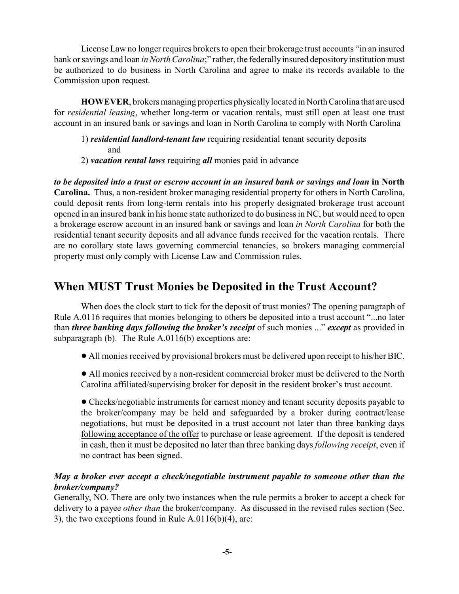License Law no longer requires brokers to open their brokerage trust accounts "in an insured bank or savings and loan *in North Carolina*;" rather, the federally insured depository institution must be authorized to do business in North Carolina and agree to make its records available to the Commission upon request.

**HOWEVER**, brokers managing properties physically located in North Carolina that are used for *residential leasing*, whether long-term or vacation rentals, must still open at least one trust account in an insured bank or savings and loan in North Carolina to comply with North Carolina

- 1) *residential landlord-tenant law* requiring residential tenant security deposits and
- 2) *vacation rental laws* requiring *all* monies paid in advance

*to be deposited into a trust or escrow account in an insured bank or savings and loan* **in North Carolina.** Thus, a non-resident broker managing residential property for others in North Carolina, could deposit rents from long-term rentals into his properly designated brokerage trust account opened in an insured bank in his home state authorized to do business in NC, but would need to open a brokerage escrow account in an insured bank or savings and loan *in North Carolina* for both the residential tenant security deposits and all advance funds received for the vacation rentals. There are no corollary state laws governing commercial tenancies, so brokers managing commercial property must only comply with License Law and Commission rules.

# **When MUST Trust Monies be Deposited in the Trust Account?**

When does the clock start to tick for the deposit of trust monies? The opening paragraph of Rule A.0116 requires that monies belonging to others be deposited into a trust account "...no later than *three banking days following the broker's receipt* of such monies ..." *except* as provided in subparagraph (b). The Rule A.0116(b) exceptions are:

- ! All monies received by provisional brokers must be delivered upon receipt to his/her BIC.
- All monies received by a non-resident commercial broker must be delivered to the North Carolina affiliated/supervising broker for deposit in the resident broker's trust account.

! Checks/negotiable instruments for earnest money and tenant security deposits payable to the broker/company may be held and safeguarded by a broker during contract/lease negotiations, but must be deposited in a trust account not later than three banking days following acceptance of the offer to purchase or lease agreement. If the deposit is tendered in cash, then it must be deposited no later than three banking days *following receipt*, even if no contract has been signed.

#### *May a broker ever accept a check/negotiable instrument payable to someone other than the broker/company?*

Generally, NO. There are only two instances when the rule permits a broker to accept a check for delivery to a payee *other than* the broker/company. As discussed in the revised rules section (Sec. 3), the two exceptions found in Rule A.0116(b)(4), are: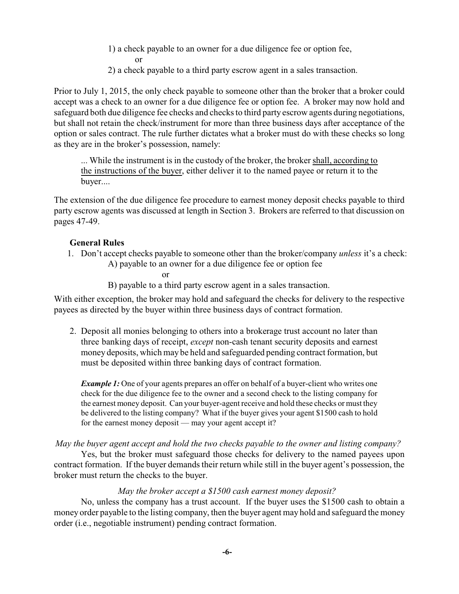- 1) a check payable to an owner for a due diligence fee or option fee, or
- 2) a check payable to a third party escrow agent in a sales transaction.

Prior to July 1, 2015, the only check payable to someone other than the broker that a broker could accept was a check to an owner for a due diligence fee or option fee. A broker may now hold and safeguard both due diligence fee checks and checks to third party escrow agents during negotiations, but shall not retain the check/instrument for more than three business days after acceptance of the option or sales contract. The rule further dictates what a broker must do with these checks so long as they are in the broker's possession, namely:

... While the instrument is in the custody of the broker, the broker shall, according to the instructions of the buyer, either deliver it to the named payee or return it to the buyer....

The extension of the due diligence fee procedure to earnest money deposit checks payable to third party escrow agents was discussed at length in Section 3. Brokers are referred to that discussion on pages 47-49.

#### **General Rules**

1. Don't accept checks payable to someone other than the broker/company *unless* it's a check: A) payable to an owner for a due diligence fee or option fee

or

B) payable to a third party escrow agent in a sales transaction.

With either exception, the broker may hold and safeguard the checks for delivery to the respective payees as directed by the buyer within three business days of contract formation.

2. Deposit all monies belonging to others into a brokerage trust account no later than three banking days of receipt, *except* non-cash tenant security deposits and earnest money deposits, which may be held and safeguarded pending contract formation, but must be deposited within three banking days of contract formation.

*Example 1:* One of your agents prepares an offer on behalf of a buyer-client who writes one check for the due diligence fee to the owner and a second check to the listing company for the earnest money deposit. Can your buyer-agent receive and hold these checks or must they be delivered to the listing company? What if the buyer gives your agent \$1500 cash to hold for the earnest money deposit — may your agent accept it?

*May the buyer agent accept and hold the two checks payable to the owner and listing company?*

Yes, but the broker must safeguard those checks for delivery to the named payees upon contract formation. If the buyer demands their return while still in the buyer agent's possession, the broker must return the checks to the buyer.

#### *May the broker accept a \$1500 cash earnest money deposit?*

No, unless the company has a trust account. If the buyer uses the \$1500 cash to obtain a money order payable to the listing company, then the buyer agent may hold and safeguard the money order (i.e., negotiable instrument) pending contract formation.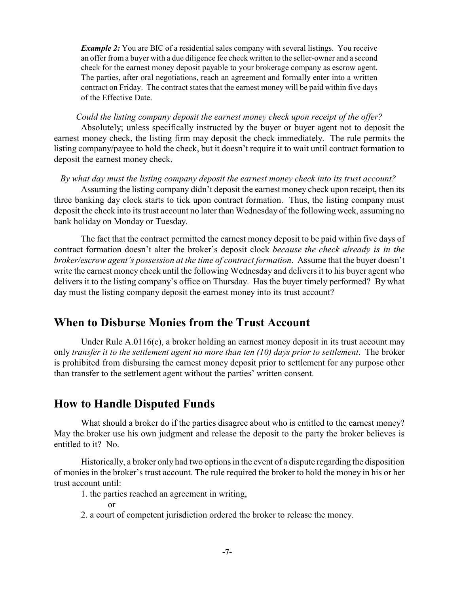*Example 2:* You are BIC of a residential sales company with several listings. You receive an offer from a buyer with a due diligence fee check written to the seller-owner and a second check for the earnest money deposit payable to your brokerage company as escrow agent. The parties, after oral negotiations, reach an agreement and formally enter into a written contract on Friday. The contract states that the earnest money will be paid within five days of the Effective Date.

#### *Could the listing company deposit the earnest money check upon receipt of the offer?*

Absolutely; unless specifically instructed by the buyer or buyer agent not to deposit the earnest money check, the listing firm may deposit the check immediately. The rule permits the listing company/payee to hold the check, but it doesn't require it to wait until contract formation to deposit the earnest money check.

#### *By what day must the listing company deposit the earnest money check into its trust account?*

Assuming the listing company didn't deposit the earnest money check upon receipt, then its three banking day clock starts to tick upon contract formation. Thus, the listing company must deposit the check into its trust account no later than Wednesday of the following week, assuming no bank holiday on Monday or Tuesday.

The fact that the contract permitted the earnest money deposit to be paid within five days of contract formation doesn't alter the broker's deposit clock *because the check already is in the broker/escrow agent's possession at the time of contract formation*. Assume that the buyer doesn't write the earnest money check until the following Wednesday and delivers it to his buyer agent who delivers it to the listing company's office on Thursday. Has the buyer timely performed? By what day must the listing company deposit the earnest money into its trust account?

#### **When to Disburse Monies from the Trust Account**

Under Rule A.0116(e), a broker holding an earnest money deposit in its trust account may only *transfer it to the settlement agent no more than ten (10) days prior to settlement*. The broker is prohibited from disbursing the earnest money deposit prior to settlement for any purpose other than transfer to the settlement agent without the parties' written consent.

#### **How to Handle Disputed Funds**

What should a broker do if the parties disagree about who is entitled to the earnest money? May the broker use his own judgment and release the deposit to the party the broker believes is entitled to it? No.

Historically, a broker only had two options in the event of a dispute regarding the disposition of monies in the broker's trust account. The rule required the broker to hold the money in his or her trust account until:

1. the parties reached an agreement in writing,

or

2. a court of competent jurisdiction ordered the broker to release the money.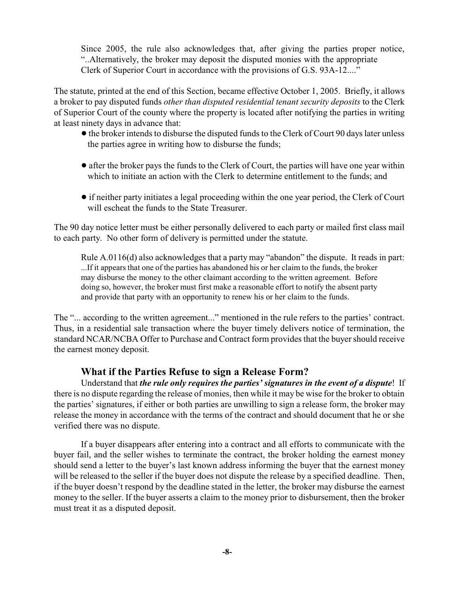Since 2005, the rule also acknowledges that, after giving the parties proper notice, "..Alternatively, the broker may deposit the disputed monies with the appropriate Clerk of Superior Court in accordance with the provisions of G.S. 93A-12...."

The statute, printed at the end of this Section, became effective October 1, 2005. Briefly, it allows a broker to pay disputed funds *other than disputed residential tenant security deposits* to the Clerk of Superior Court of the county where the property is located after notifying the parties in writing at least ninety days in advance that:

- the broker intends to disburse the disputed funds to the Clerk of Court 90 days later unless the parties agree in writing how to disburse the funds;
- after the broker pays the funds to the Clerk of Court, the parties will have one year within which to initiate an action with the Clerk to determine entitlement to the funds; and
- ! if neither party initiates a legal proceeding within the one year period, the Clerk of Court will escheat the funds to the State Treasurer.

The 90 day notice letter must be either personally delivered to each party or mailed first class mail to each party. No other form of delivery is permitted under the statute.

Rule A.0116(d) also acknowledges that a party may "abandon" the dispute. It reads in part: ...If it appears that one of the parties has abandoned his or her claim to the funds, the broker may disburse the money to the other claimant according to the written agreement. Before doing so, however, the broker must first make a reasonable effort to notify the absent party and provide that party with an opportunity to renew his or her claim to the funds.

The "... according to the written agreement..." mentioned in the rule refers to the parties' contract. Thus, in a residential sale transaction where the buyer timely delivers notice of termination, the standard NCAR/NCBA Offer to Purchase and Contract form provides that the buyer should receive the earnest money deposit.

#### **What if the Parties Refuse to sign a Release Form?**

Understand that *the rule only requires the parties' signatures in the event of a dispute*! If there is no dispute regarding the release of monies, then while it may be wise for the broker to obtain the parties' signatures, if either or both parties are unwilling to sign a release form, the broker may release the money in accordance with the terms of the contract and should document that he or she verified there was no dispute.

If a buyer disappears after entering into a contract and all efforts to communicate with the buyer fail, and the seller wishes to terminate the contract, the broker holding the earnest money should send a letter to the buyer's last known address informing the buyer that the earnest money will be released to the seller if the buyer does not dispute the release by a specified deadline. Then, if the buyer doesn't respond by the deadline stated in the letter, the broker may disburse the earnest money to the seller. If the buyer asserts a claim to the money prior to disbursement, then the broker must treat it as a disputed deposit.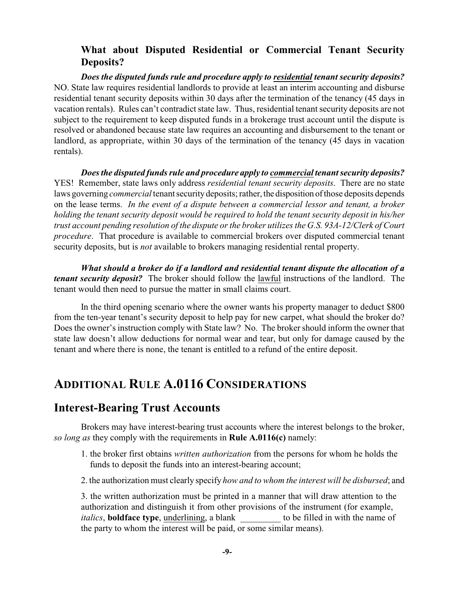#### **What about Disputed Residential or Commercial Tenant Security Deposits?**

*Does the disputed funds rule and procedure apply to residential tenant security deposits?* NO. State law requires residential landlords to provide at least an interim accounting and disburse residential tenant security deposits within 30 days after the termination of the tenancy (45 days in vacation rentals). Rules can't contradict state law. Thus, residential tenant security deposits are not subject to the requirement to keep disputed funds in a brokerage trust account until the dispute is resolved or abandoned because state law requires an accounting and disbursement to the tenant or landlord, as appropriate, within 30 days of the termination of the tenancy (45 days in vacation rentals).

*Does the disputed funds rule and procedure apply to commercial tenant security deposits?* YES! Remember, state laws only address *residential tenant security deposits*. There are no state laws governing *commercial* tenant security deposits; rather, the disposition of those deposits depends on the lease terms. *In the event of a dispute between a commercial lessor and tenant, a broker holding the tenant security deposit would be required to hold the tenant security deposit in his/her trust account pending resolution of the dispute or the broker utilizes the G.S. 93A-12/Clerk of Court procedure*. That procedure is available to commercial brokers over disputed commercial tenant security deposits, but is *not* available to brokers managing residential rental property.

*What should a broker do if a landlord and residential tenant dispute the allocation of a tenant security deposit?* The broker should follow the lawful instructions of the landlord. The tenant would then need to pursue the matter in small claims court.

In the third opening scenario where the owner wants his property manager to deduct \$800 from the ten-year tenant's security deposit to help pay for new carpet, what should the broker do? Does the owner's instruction comply with State law? No. The broker should inform the owner that state law doesn't allow deductions for normal wear and tear, but only for damage caused by the tenant and where there is none, the tenant is entitled to a refund of the entire deposit.

# **ADDITIONAL RULE A.0116 CONSIDERATIONS**

#### **Interest-Bearing Trust Accounts**

Brokers may have interest-bearing trust accounts where the interest belongs to the broker, *so long as* they comply with the requirements in **Rule A.0116(c)** namely:

- 1. the broker first obtains *written authorization* from the persons for whom he holds the funds to deposit the funds into an interest-bearing account;
- 2. the authorization must clearly specify *how and to whom the interest will be disbursed*; and

3. the written authorization must be printed in a manner that will draw attention to the authorization and distinguish it from other provisions of the instrument (for example, *italics*, **boldface type**, underlining, a blank to be filled in with the name of the party to whom the interest will be paid, or some similar means).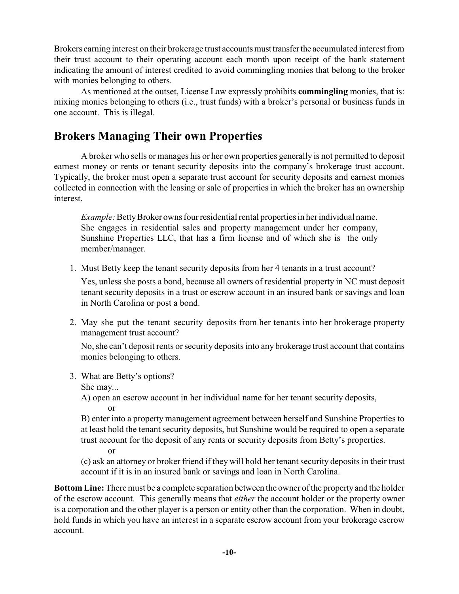Brokers earning interest on their brokerage trust accounts must transfer the accumulated interest from their trust account to their operating account each month upon receipt of the bank statement indicating the amount of interest credited to avoid commingling monies that belong to the broker with monies belonging to others.

As mentioned at the outset, License Law expressly prohibits **commingling** monies, that is: mixing monies belonging to others (i.e., trust funds) with a broker's personal or business funds in one account. This is illegal.

# **Brokers Managing Their own Properties**

A broker who sells or manages his or her own properties generally is not permitted to deposit earnest money or rents or tenant security deposits into the company's brokerage trust account. Typically, the broker must open a separate trust account for security deposits and earnest monies collected in connection with the leasing or sale of properties in which the broker has an ownership interest.

*Example:* Betty Broker owns four residential rental properties in her individual name. She engages in residential sales and property management under her company, Sunshine Properties LLC, that has a firm license and of which she is the only member/manager.

1. Must Betty keep the tenant security deposits from her 4 tenants in a trust account?

Yes, unless she posts a bond, because all owners of residential property in NC must deposit tenant security deposits in a trust or escrow account in an insured bank or savings and loan in North Carolina or post a bond.

2. May she put the tenant security deposits from her tenants into her brokerage property management trust account?

No, she can't deposit rents or security deposits into any brokerage trust account that contains monies belonging to others.

3. What are Betty's options?

She may...

A) open an escrow account in her individual name for her tenant security deposits, or

B) enter into a property management agreement between herself and Sunshine Properties to at least hold the tenant security deposits, but Sunshine would be required to open a separate trust account for the deposit of any rents or security deposits from Betty's properties.

or

(c) ask an attorney or broker friend if they will hold her tenant security deposits in their trust account if it is in an insured bank or savings and loan in North Carolina.

**Bottom Line:** There must be a complete separation between the owner of the property and the holder of the escrow account. This generally means that *either* the account holder or the property owner is a corporation and the other player is a person or entity other than the corporation. When in doubt, hold funds in which you have an interest in a separate escrow account from your brokerage escrow account.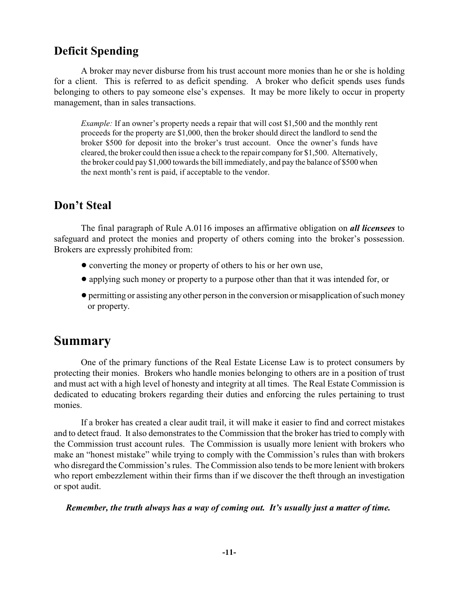# **Deficit Spending**

A broker may never disburse from his trust account more monies than he or she is holding for a client. This is referred to as deficit spending. A broker who deficit spends uses funds belonging to others to pay someone else's expenses. It may be more likely to occur in property management, than in sales transactions.

*Example:* If an owner's property needs a repair that will cost \$1,500 and the monthly rent proceeds for the property are \$1,000, then the broker should direct the landlord to send the broker \$500 for deposit into the broker's trust account. Once the owner's funds have cleared, the broker could then issue a check to the repair company for \$1,500. Alternatively, the broker could pay \$1,000 towards the bill immediately, and pay the balance of \$500 when the next month's rent is paid, if acceptable to the vendor.

# **Don't Steal**

The final paragraph of Rule A.0116 imposes an affirmative obligation on *all licensees* to safeguard and protect the monies and property of others coming into the broker's possession. Brokers are expressly prohibited from:

- converting the money or property of others to his or her own use,
- ! applying such money or property to a purpose other than that it was intended for, or
- ! permitting or assisting any other person in the conversion or misapplication of such money or property.

# **Summary**

One of the primary functions of the Real Estate License Law is to protect consumers by protecting their monies. Brokers who handle monies belonging to others are in a position of trust and must act with a high level of honesty and integrity at all times. The Real Estate Commission is dedicated to educating brokers regarding their duties and enforcing the rules pertaining to trust monies.

If a broker has created a clear audit trail, it will make it easier to find and correct mistakes and to detect fraud. It also demonstrates to the Commission that the broker has tried to comply with the Commission trust account rules. The Commission is usually more lenient with brokers who make an "honest mistake" while trying to comply with the Commission's rules than with brokers who disregard the Commission's rules. The Commission also tends to be more lenient with brokers who report embezzlement within their firms than if we discover the theft through an investigation or spot audit.

#### *Remember, the truth always has a way of coming out. It's usually just a matter of time.*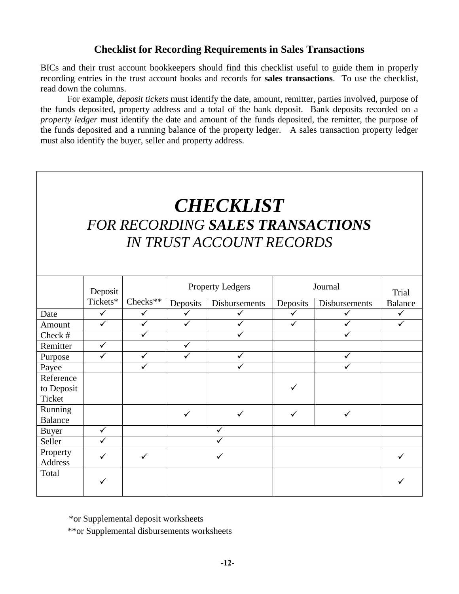#### **Checklist for Recording Requirements in Sales Transactions**

BICs and their trust account bookkeepers should find this checklist useful to guide them in properly recording entries in the trust account books and records for **sales transactions**. To use the checklist, read down the columns.

For example, *deposit tickets* must identify the date, amount, remitter, parties involved, purpose of the funds deposited, property address and a total of the bank deposit. Bank deposits recorded on a *property ledger* must identify the date and amount of the funds deposited, the remitter, the purpose of the funds deposited and a running balance of the property ledger. A sales transaction property ledger must also identify the buyer, seller and property address.

# *CHECKLIST FOR RECORDING SALES TRANSACTIONS IN TRUST ACCOUNT RECORDS*

|                | Deposit      |              | <b>Property Ledgers</b> |               | Journal      |               | Trial          |
|----------------|--------------|--------------|-------------------------|---------------|--------------|---------------|----------------|
|                | Tickets*     | $Checks**$   | Deposits                | Disbursements | Deposits     | Disbursements | <b>Balance</b> |
| Date           | $\checkmark$ | $\checkmark$ | ✓                       | ✓             | $\checkmark$ | ✓             | $\checkmark$   |
| Amount         | ✓            | $\checkmark$ |                         |               | ✓            |               |                |
| Check #        |              | $\checkmark$ |                         |               |              | ✓             |                |
| Remitter       | ✓            |              | ✓                       |               |              |               |                |
| Purpose        | ✓            | $\checkmark$ |                         | ✓             |              | $\checkmark$  |                |
| Payee          |              | $\checkmark$ |                         | ✓             |              | ✓             |                |
| Reference      |              |              |                         |               |              |               |                |
| to Deposit     |              |              |                         |               |              |               |                |
| Ticket         |              |              |                         |               |              |               |                |
| Running        |              |              | ✓                       |               |              | ✓             |                |
| <b>Balance</b> |              |              |                         |               |              |               |                |
| Buyer          | ✓            |              | ✓                       |               |              |               |                |
| Seller         | ✓            |              |                         |               |              |               |                |
| Property       | ✓            | ✓            | ✓                       |               |              |               |                |
| <b>Address</b> |              |              |                         |               |              |               |                |
| Total          |              |              |                         |               |              |               |                |
|                |              |              |                         |               |              |               |                |
|                |              |              |                         |               |              |               |                |

  \*or Supplemental deposit worksheets

\*\*or Supplemental disbursements worksheets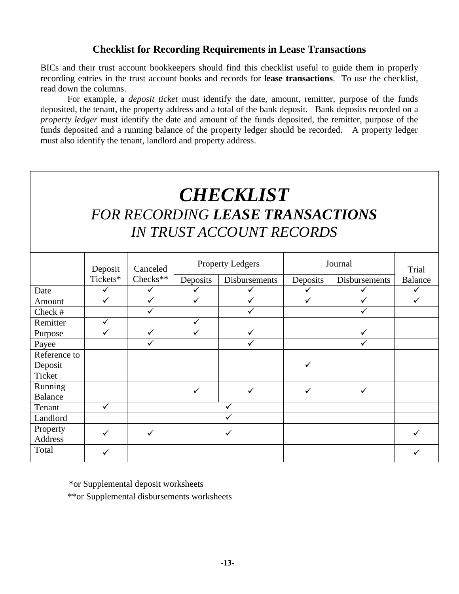#### **Checklist for Recording Requirements in Lease Transactions**

BICs and their trust account bookkeepers should find this checklist useful to guide them in properly recording entries in the trust account books and records for **lease transactions**. To use the checklist, read down the columns.

For example, a *deposit ticket* must identify the date, amount, remitter, purpose of the funds deposited, the tenant, the property address and a total of the bank deposit. Bank deposits recorded on a *property ledger* must identify the date and amount of the funds deposited, the remitter, purpose of the funds deposited and a running balance of the property ledger should be recorded. A property ledger must also identify the tenant, landlord and property address.

# *CHECKLIST FOR RECORDING LEASE TRANSACTIONS IN TRUST ACCOUNT RECORDS*

|                | Deposit<br>Tickets* | Canceled<br>Checks <sup>**</sup> | <b>Property Ledgers</b> |               | Journal      |               | Trial          |
|----------------|---------------------|----------------------------------|-------------------------|---------------|--------------|---------------|----------------|
|                |                     |                                  | Deposits                | Disbursements | Deposits     | Disbursements | <b>Balance</b> |
| Date           | ✓                   | $\checkmark$                     | ✓                       | ✓             | ✓            | $\checkmark$  | $\checkmark$   |
| Amount         |                     | $\checkmark$                     | $\checkmark$            |               | ✓            |               | ✓              |
| Check #        |                     | $\checkmark$                     |                         | $\checkmark$  |              | ✓             |                |
| Remitter       | $\checkmark$        |                                  | ✓                       |               |              |               |                |
| Purpose        |                     |                                  | $\checkmark$            | $\checkmark$  |              |               |                |
| Payee          |                     |                                  |                         |               |              |               |                |
| Reference to   |                     |                                  |                         |               |              |               |                |
| Deposit        |                     |                                  |                         |               | ✓            |               |                |
| Ticket         |                     |                                  |                         |               |              |               |                |
| Running        |                     |                                  | $\checkmark$            | ✓             | $\checkmark$ | $\checkmark$  |                |
| <b>Balance</b> |                     |                                  |                         |               |              |               |                |
| Tenant         | ✓                   |                                  |                         |               |              |               |                |
| Landlord       |                     |                                  |                         |               |              |               |                |
| Property       |                     | $\checkmark$                     | ✓                       |               |              |               |                |
| Address        |                     |                                  |                         |               |              |               |                |
| Total          |                     |                                  |                         |               |              |               |                |

  \*or Supplemental deposit worksheets

\*\*or Supplemental disbursements worksheets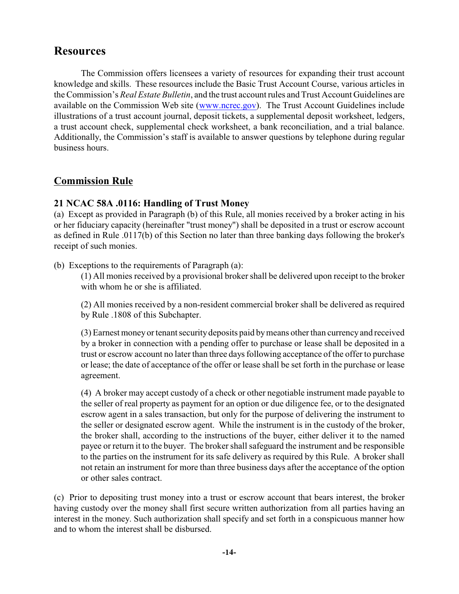# **Resources**

The Commission offers licensees a variety of resources for expanding their trust account knowledge and skills. These resources include the Basic Trust Account Course, various articles in the Commission's *Real Estate Bulletin*, and the trust account rules and Trust Account Guidelines are available on the Commission Web site [\(www.ncrec.gov](http://www.ncrec.gov)). The Trust Account Guidelines include illustrations of a trust account journal, deposit tickets, a supplemental deposit worksheet, ledgers, a trust account check, supplemental check worksheet, a bank reconciliation, and a trial balance. Additionally, the Commission's staff is available to answer questions by telephone during regular business hours.

#### **Commission Rule**

#### **21 NCAC 58A .0116: Handling of Trust Money**

(a) Except as provided in Paragraph (b) of this Rule, all monies received by a broker acting in his or her fiduciary capacity (hereinafter "trust money") shall be deposited in a trust or escrow account as defined in Rule .0117(b) of this Section no later than three banking days following the broker's receipt of such monies.

(b) Exceptions to the requirements of Paragraph (a):

(1) All monies received by a provisional broker shall be delivered upon receipt to the broker with whom he or she is affiliated.

(2) All monies received by a non-resident commercial broker shall be delivered as required by Rule .1808 of this Subchapter.

(3) Earnest money or tenant security deposits paid by means other than currency and received by a broker in connection with a pending offer to purchase or lease shall be deposited in a trust or escrow account no later than three days following acceptance of the offer to purchase or lease; the date of acceptance of the offer or lease shall be set forth in the purchase or lease agreement.

(4) A broker may accept custody of a check or other negotiable instrument made payable to the seller of real property as payment for an option or due diligence fee, or to the designated escrow agent in a sales transaction, but only for the purpose of delivering the instrument to the seller or designated escrow agent. While the instrument is in the custody of the broker, the broker shall, according to the instructions of the buyer, either deliver it to the named payee or return it to the buyer. The broker shall safeguard the instrument and be responsible to the parties on the instrument for its safe delivery as required by this Rule. A broker shall not retain an instrument for more than three business days after the acceptance of the option or other sales contract.

(c) Prior to depositing trust money into a trust or escrow account that bears interest, the broker having custody over the money shall first secure written authorization from all parties having an interest in the money. Such authorization shall specify and set forth in a conspicuous manner how and to whom the interest shall be disbursed.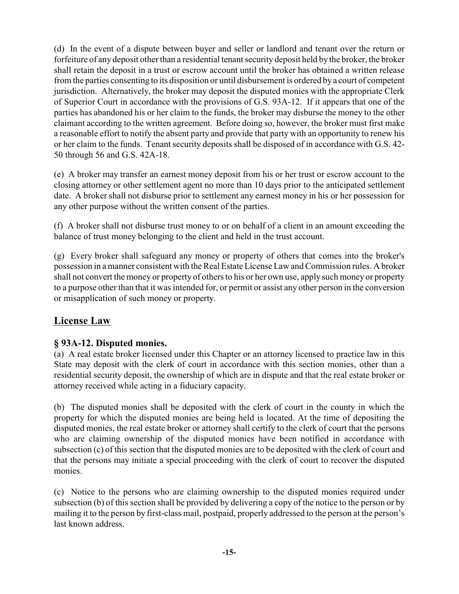(d) In the event of a dispute between buyer and seller or landlord and tenant over the return or forfeiture of any deposit other than a residential tenant security deposit held by the broker, the broker shall retain the deposit in a trust or escrow account until the broker has obtained a written release from the parties consenting to its disposition or until disbursement is ordered by a court of competent jurisdiction. Alternatively, the broker may deposit the disputed monies with the appropriate Clerk of Superior Court in accordance with the provisions of G.S. 93A-12. If it appears that one of the parties has abandoned his or her claim to the funds, the broker may disburse the money to the other claimant according to the written agreement. Before doing so, however, the broker must first make a reasonable effort to notify the absent party and provide that party with an opportunity to renew his or her claim to the funds. Tenant security deposits shall be disposed of in accordance with G.S. 42- 50 through 56 and G.S. 42A-18.

(e) A broker may transfer an earnest money deposit from his or her trust or escrow account to the closing attorney or other settlement agent no more than 10 days prior to the anticipated settlement date. A broker shall not disburse prior to settlement any earnest money in his or her possession for any other purpose without the written consent of the parties.

(f) A broker shall not disburse trust money to or on behalf of a client in an amount exceeding the balance of trust money belonging to the client and held in the trust account.

(g) Every broker shall safeguard any money or property of others that comes into the broker's possession in a manner consistent with the Real Estate License Law and Commission rules. A broker shall not convert the money or property of others to his or her own use, apply such money or property to a purpose other than that it was intended for, or permit or assist any other person in the conversion or misapplication of such money or property.

### **License Law**

#### **§ 93A-12. Disputed monies.**

(a) A real estate broker licensed under this Chapter or an attorney licensed to practice law in this State may deposit with the clerk of court in accordance with this section monies, other than a residential security deposit, the ownership of which are in dispute and that the real estate broker or attorney received while acting in a fiduciary capacity.

(b) The disputed monies shall be deposited with the clerk of court in the county in which the property for which the disputed monies are being held is located. At the time of depositing the disputed monies, the real estate broker or attorney shall certify to the clerk of court that the persons who are claiming ownership of the disputed monies have been notified in accordance with subsection (c) of this section that the disputed monies are to be deposited with the clerk of court and that the persons may initiate a special proceeding with the clerk of court to recover the disputed monies.

(c) Notice to the persons who are claiming ownership to the disputed monies required under subsection (b) of this section shall be provided by delivering a copy of the notice to the person or by mailing it to the person by first-class mail, postpaid, properly addressed to the person at the person's last known address.